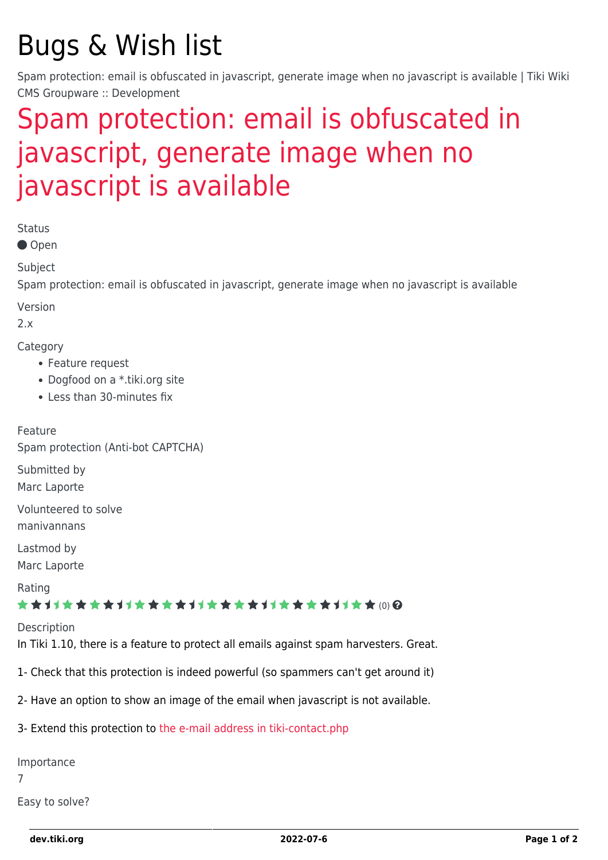# Bugs & Wish list

Spam protection: email is obfuscated in javascript, generate image when no javascript is available | Tiki Wiki CMS Groupware :: Development

## [Spam protection: email is obfuscated in](https://dev.tiki.org/item1541-Spam-protection-email-is-obfuscated-in-javascript-generate-image-when-no-javascript-is-available) [javascript, generate image when no](https://dev.tiki.org/item1541-Spam-protection-email-is-obfuscated-in-javascript-generate-image-when-no-javascript-is-available) [javascript is available](https://dev.tiki.org/item1541-Spam-protection-email-is-obfuscated-in-javascript-generate-image-when-no-javascript-is-available)

Status

● Open

Subject

Spam protection: email is obfuscated in javascript, generate image when no javascript is available

Version

2.x

Category

- Feature request
- Dogfood on a \*.tiki.org site
- Less than 30-minutes fix

Feature Spam protection (Anti-bot CAPTCHA) Submitted by

Marc Laporte

Volunteered to solve manivannans

Lastmod by Marc Laporte

Rating

#### ★★11★★★★11★★★★11★★★★11★★★★11★★ @@

Description

In Tiki 1.10, there is a feature to protect all emails against spam harvesters. Great.

- 1- Check that this protection is indeed powerful (so spammers can't get around it)
- 2- Have an option to show an image of the email when javascript is not available.
- 3- Extend this protection to [the e-mail address in tiki-contact.php](https://dev.tiki.org/tiki-view_tracker_item.php?itemId=1147)

Importance

7

Easy to solve?